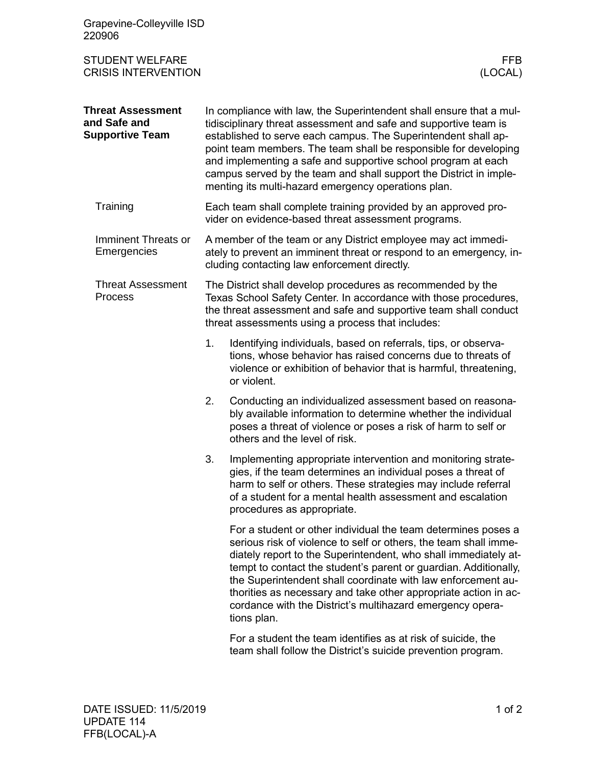| Grapevine-Colleyville ISD<br>220906                                |                                                                                                                                                                                                                                                                                                                                                                                                                                                                             |                                                                                                                                                                                                                                                                                                                                                                                                                                                                                         |
|--------------------------------------------------------------------|-----------------------------------------------------------------------------------------------------------------------------------------------------------------------------------------------------------------------------------------------------------------------------------------------------------------------------------------------------------------------------------------------------------------------------------------------------------------------------|-----------------------------------------------------------------------------------------------------------------------------------------------------------------------------------------------------------------------------------------------------------------------------------------------------------------------------------------------------------------------------------------------------------------------------------------------------------------------------------------|
| <b>STUDENT WELFARE</b><br><b>CRISIS INTERVENTION</b>               |                                                                                                                                                                                                                                                                                                                                                                                                                                                                             | FFB.<br>(LOCAL)                                                                                                                                                                                                                                                                                                                                                                                                                                                                         |
| <b>Threat Assessment</b><br>and Safe and<br><b>Supportive Team</b> | In compliance with law, the Superintendent shall ensure that a mul-<br>tidisciplinary threat assessment and safe and supportive team is<br>established to serve each campus. The Superintendent shall ap-<br>point team members. The team shall be responsible for developing<br>and implementing a safe and supportive school program at each<br>campus served by the team and shall support the District in imple-<br>menting its multi-hazard emergency operations plan. |                                                                                                                                                                                                                                                                                                                                                                                                                                                                                         |
| Training                                                           | Each team shall complete training provided by an approved pro-<br>vider on evidence-based threat assessment programs.                                                                                                                                                                                                                                                                                                                                                       |                                                                                                                                                                                                                                                                                                                                                                                                                                                                                         |
| Imminent Threats or<br>Emergencies                                 | A member of the team or any District employee may act immedi-<br>ately to prevent an imminent threat or respond to an emergency, in-<br>cluding contacting law enforcement directly.                                                                                                                                                                                                                                                                                        |                                                                                                                                                                                                                                                                                                                                                                                                                                                                                         |
| <b>Threat Assessment</b><br><b>Process</b>                         | The District shall develop procedures as recommended by the<br>Texas School Safety Center. In accordance with those procedures,<br>the threat assessment and safe and supportive team shall conduct<br>threat assessments using a process that includes:                                                                                                                                                                                                                    |                                                                                                                                                                                                                                                                                                                                                                                                                                                                                         |
|                                                                    | 1.                                                                                                                                                                                                                                                                                                                                                                                                                                                                          | Identifying individuals, based on referrals, tips, or observa-<br>tions, whose behavior has raised concerns due to threats of<br>violence or exhibition of behavior that is harmful, threatening,<br>or violent.                                                                                                                                                                                                                                                                        |
|                                                                    | 2.                                                                                                                                                                                                                                                                                                                                                                                                                                                                          | Conducting an individualized assessment based on reasona-<br>bly available information to determine whether the individual<br>poses a threat of violence or poses a risk of harm to self or<br>others and the level of risk.                                                                                                                                                                                                                                                            |
|                                                                    | 3.                                                                                                                                                                                                                                                                                                                                                                                                                                                                          | Implementing appropriate intervention and monitoring strate-<br>gies, if the team determines an individual poses a threat of<br>harm to self or others. These strategies may include referral<br>of a student for a mental health assessment and escalation<br>procedures as appropriate.                                                                                                                                                                                               |
|                                                                    |                                                                                                                                                                                                                                                                                                                                                                                                                                                                             | For a student or other individual the team determines poses a<br>serious risk of violence to self or others, the team shall imme-<br>diately report to the Superintendent, who shall immediately at-<br>tempt to contact the student's parent or guardian. Additionally,<br>the Superintendent shall coordinate with law enforcement au-<br>thorities as necessary and take other appropriate action in ac-<br>cordance with the District's multihazard emergency opera-<br>tions plan. |
|                                                                    |                                                                                                                                                                                                                                                                                                                                                                                                                                                                             | For a student the team identifies as at risk of suicide, the<br>team shall follow the District's suicide prevention program.                                                                                                                                                                                                                                                                                                                                                            |